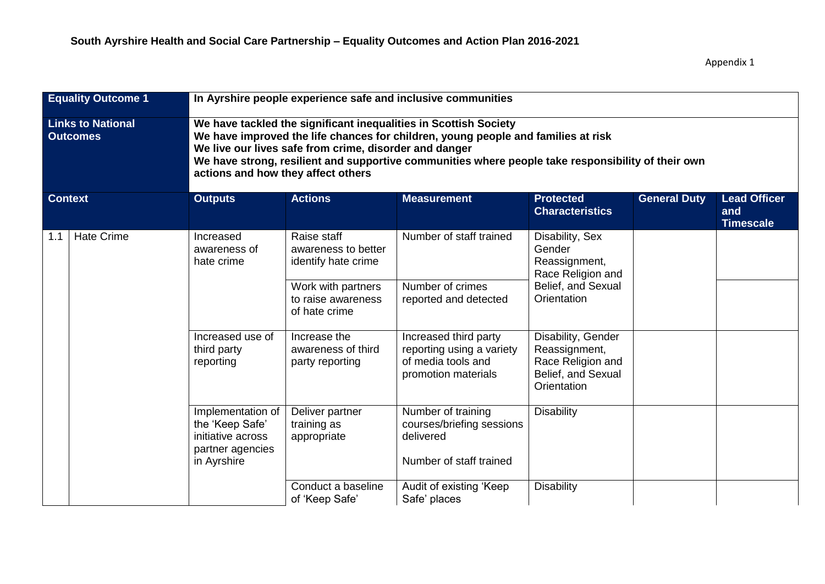| <b>Equality Outcome 1</b>                   |                   |                                                                                              | In Ayrshire people experience safe and inclusive communities                                                                                                                                                                                                                                                                                                |                                                                                                 |                                                                                               |                     |                                                |  |  |
|---------------------------------------------|-------------------|----------------------------------------------------------------------------------------------|-------------------------------------------------------------------------------------------------------------------------------------------------------------------------------------------------------------------------------------------------------------------------------------------------------------------------------------------------------------|-------------------------------------------------------------------------------------------------|-----------------------------------------------------------------------------------------------|---------------------|------------------------------------------------|--|--|
| <b>Links to National</b><br><b>Outcomes</b> |                   |                                                                                              | We have tackled the significant inequalities in Scottish Society<br>We have improved the life chances for children, young people and families at risk<br>We live our lives safe from crime, disorder and danger<br>We have strong, resilient and supportive communities where people take responsibility of their own<br>actions and how they affect others |                                                                                                 |                                                                                               |                     |                                                |  |  |
| <b>Context</b>                              |                   | <b>Outputs</b>                                                                               | <b>Actions</b>                                                                                                                                                                                                                                                                                                                                              | <b>Measurement</b>                                                                              | <b>Protected</b><br><b>Characteristics</b>                                                    | <b>General Duty</b> | <b>Lead Officer</b><br>and<br><b>Timescale</b> |  |  |
| 1.1                                         | <b>Hate Crime</b> | Increased<br>awareness of<br>hate crime                                                      | Raise staff<br>awareness to better<br>identify hate crime                                                                                                                                                                                                                                                                                                   | Number of staff trained                                                                         | Disability, Sex<br>Gender<br>Reassignment,<br>Race Religion and                               |                     |                                                |  |  |
|                                             |                   |                                                                                              | Work with partners<br>to raise awareness<br>of hate crime                                                                                                                                                                                                                                                                                                   | Number of crimes<br>reported and detected                                                       | Belief, and Sexual<br>Orientation                                                             |                     |                                                |  |  |
|                                             |                   | Increased use of<br>third party<br>reporting                                                 | Increase the<br>awareness of third<br>party reporting                                                                                                                                                                                                                                                                                                       | Increased third party<br>reporting using a variety<br>of media tools and<br>promotion materials | Disability, Gender<br>Reassignment,<br>Race Religion and<br>Belief, and Sexual<br>Orientation |                     |                                                |  |  |
|                                             |                   | Implementation of<br>the 'Keep Safe'<br>initiative across<br>partner agencies<br>in Ayrshire | Deliver partner<br>training as<br>appropriate                                                                                                                                                                                                                                                                                                               | Number of training<br>courses/briefing sessions<br>delivered<br>Number of staff trained         | <b>Disability</b>                                                                             |                     |                                                |  |  |
|                                             |                   |                                                                                              | Conduct a baseline<br>of 'Keep Safe'                                                                                                                                                                                                                                                                                                                        | Audit of existing 'Keep<br>Safe' places                                                         | Disability                                                                                    |                     |                                                |  |  |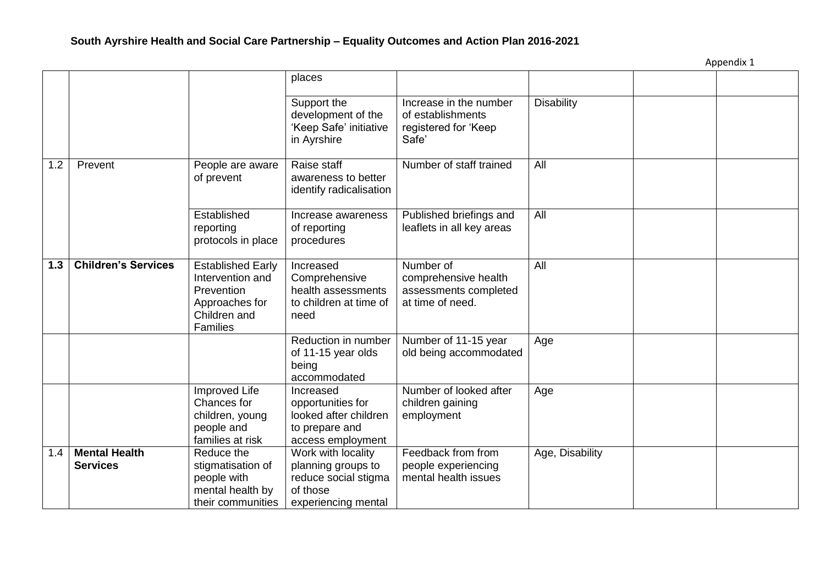|     |                            |                                                                                                                 | places                                                                                         |                                                                                |                   |  |
|-----|----------------------------|-----------------------------------------------------------------------------------------------------------------|------------------------------------------------------------------------------------------------|--------------------------------------------------------------------------------|-------------------|--|
|     |                            |                                                                                                                 | Support the<br>development of the<br>'Keep Safe' initiative<br>in Ayrshire                     | Increase in the number<br>of establishments<br>registered for 'Keep<br>Safe'   | <b>Disability</b> |  |
| 1.2 | Prevent                    | People are aware<br>of prevent                                                                                  | Raise staff<br>awareness to better<br>identify radicalisation                                  | Number of staff trained                                                        | All               |  |
|     |                            | Established<br>reporting<br>protocols in place                                                                  | Increase awareness<br>of reporting<br>procedures                                               | Published briefings and<br>leaflets in all key areas                           | All               |  |
| 1.3 | <b>Children's Services</b> | <b>Established Early</b><br>Intervention and<br>Prevention<br>Approaches for<br>Children and<br><b>Families</b> | Increased<br>Comprehensive<br>health assessments<br>to children at time of<br>need             | Number of<br>comprehensive health<br>assessments completed<br>at time of need. | All               |  |
|     |                            |                                                                                                                 | Reduction in number<br>of 11-15 year olds<br>being<br>accommodated                             | Number of 11-15 year<br>old being accommodated                                 | Age               |  |
|     |                            | Improved Life<br>Chances for<br>children, young<br>people and<br>families at risk                               | Increased<br>opportunities for<br>looked after children<br>to prepare and<br>access employment | Number of looked after<br>children gaining<br>employment                       | Age               |  |
| 1.4 | <b>Mental Health</b>       | Reduce the                                                                                                      | Work with locality                                                                             | Feedback from from                                                             | Age, Disability   |  |
|     | <b>Services</b>            | stigmatisation of                                                                                               | planning groups to                                                                             | people experiencing                                                            |                   |  |
|     |                            | people with<br>mental health by                                                                                 | reduce social stigma<br>of those                                                               | mental health issues                                                           |                   |  |
|     |                            | their communities                                                                                               | experiencing mental                                                                            |                                                                                |                   |  |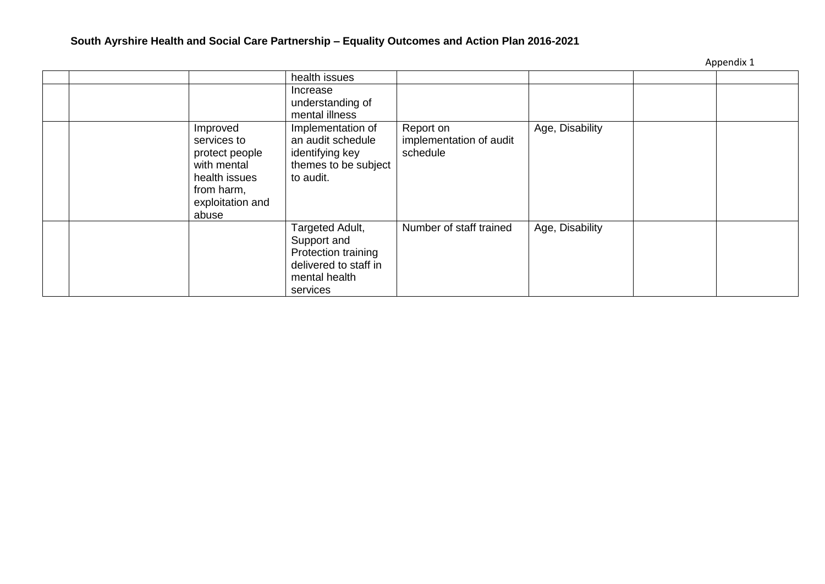|                                                                                                                      | health issues                                                                                               |                                                  |                 |  |
|----------------------------------------------------------------------------------------------------------------------|-------------------------------------------------------------------------------------------------------------|--------------------------------------------------|-----------------|--|
|                                                                                                                      | Increase<br>understanding of<br>mental illness                                                              |                                                  |                 |  |
| Improved<br>services to<br>protect people<br>with mental<br>health issues<br>from harm,<br>exploitation and<br>abuse | Implementation of<br>an audit schedule<br>identifying key<br>themes to be subject<br>to audit.              | Report on<br>implementation of audit<br>schedule | Age, Disability |  |
|                                                                                                                      | Targeted Adult,<br>Support and<br>Protection training<br>delivered to staff in<br>mental health<br>services | Number of staff trained                          | Age, Disability |  |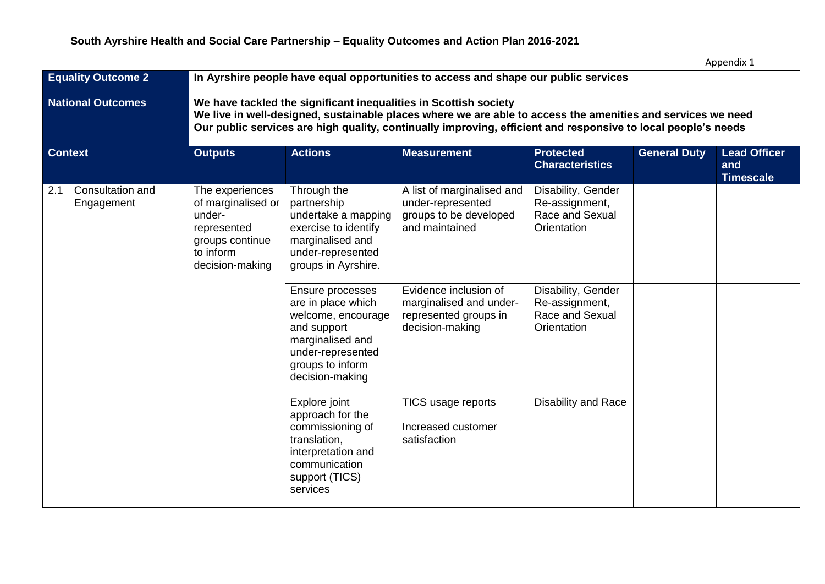| <b>Equality Outcome 2</b> |                                | In Ayrshire people have equal opportunities to access and shape our public services                                                                                                                                                                                                              |                                                                                                                                                             |                                                                                              |                                                                        |                     |                                                |  |  |  |
|---------------------------|--------------------------------|--------------------------------------------------------------------------------------------------------------------------------------------------------------------------------------------------------------------------------------------------------------------------------------------------|-------------------------------------------------------------------------------------------------------------------------------------------------------------|----------------------------------------------------------------------------------------------|------------------------------------------------------------------------|---------------------|------------------------------------------------|--|--|--|
| <b>National Outcomes</b>  |                                | We have tackled the significant inequalities in Scottish society<br>We live in well-designed, sustainable places where we are able to access the amenities and services we need<br>Our public services are high quality, continually improving, efficient and responsive to local people's needs |                                                                                                                                                             |                                                                                              |                                                                        |                     |                                                |  |  |  |
| <b>Context</b>            |                                | <b>Outputs</b>                                                                                                                                                                                                                                                                                   | <b>Actions</b>                                                                                                                                              | <b>Measurement</b>                                                                           | <b>Protected</b><br><b>Characteristics</b>                             | <b>General Duty</b> | <b>Lead Officer</b><br>and<br><b>Timescale</b> |  |  |  |
| 2.1                       | Consultation and<br>Engagement | The experiences<br>of marginalised or<br>under-<br>represented<br>groups continue<br>to inform<br>decision-making                                                                                                                                                                                | Through the<br>partnership<br>undertake a mapping<br>exercise to identify<br>marginalised and<br>under-represented<br>groups in Ayrshire.                   | A list of marginalised and<br>under-represented<br>groups to be developed<br>and maintained  | Disability, Gender<br>Re-assignment,<br>Race and Sexual<br>Orientation |                     |                                                |  |  |  |
|                           |                                |                                                                                                                                                                                                                                                                                                  | Ensure processes<br>are in place which<br>welcome, encourage<br>and support<br>marginalised and<br>under-represented<br>groups to inform<br>decision-making | Evidence inclusion of<br>marginalised and under-<br>represented groups in<br>decision-making | Disability, Gender<br>Re-assignment,<br>Race and Sexual<br>Orientation |                     |                                                |  |  |  |
|                           |                                |                                                                                                                                                                                                                                                                                                  | Explore joint<br>approach for the<br>commissioning of<br>translation,<br>interpretation and<br>communication<br>support (TICS)<br>services                  | TICS usage reports<br>Increased customer<br>satisfaction                                     | <b>Disability and Race</b>                                             |                     |                                                |  |  |  |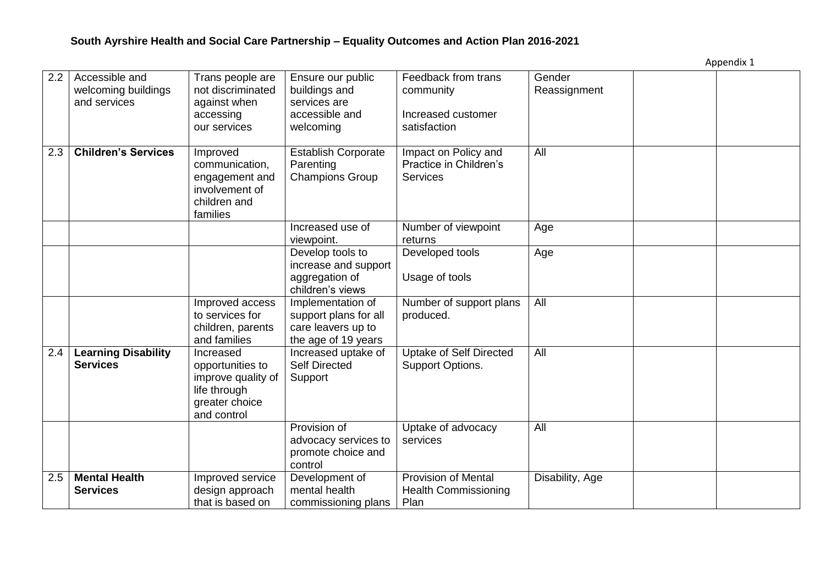| 2.2 | Accessible and<br>welcoming buildings<br>and services | Trans people are<br>not discriminated<br>against when<br>accessing<br>our services                   | Ensure our public<br>buildings and<br>services are<br>accessible and<br>welcoming       | Feedback from trans<br>community<br>Increased customer<br>satisfaction | Gender<br>Reassignment |  |
|-----|-------------------------------------------------------|------------------------------------------------------------------------------------------------------|-----------------------------------------------------------------------------------------|------------------------------------------------------------------------|------------------------|--|
| 2.3 | <b>Children's Services</b>                            | Improved<br>communication,<br>engagement and<br>involvement of<br>children and<br>families           | <b>Establish Corporate</b><br>Parenting<br><b>Champions Group</b>                       | Impact on Policy and<br>Practice in Children's<br><b>Services</b>      | All                    |  |
|     |                                                       |                                                                                                      | Increased use of<br>viewpoint.                                                          | Number of viewpoint<br>returns                                         | Age                    |  |
|     |                                                       |                                                                                                      | Develop tools to<br>increase and support<br>aggregation of<br>children's views          | Developed tools<br>Usage of tools                                      | Age                    |  |
|     |                                                       | Improved access<br>to services for<br>children, parents<br>and families                              | Implementation of<br>support plans for all<br>care leavers up to<br>the age of 19 years | Number of support plans<br>produced.                                   | All                    |  |
| 2.4 | <b>Learning Disability</b><br><b>Services</b>         | Increased<br>opportunities to<br>improve quality of<br>life through<br>greater choice<br>and control | Increased uptake of<br><b>Self Directed</b><br>Support                                  | <b>Uptake of Self Directed</b><br>Support Options.                     | All                    |  |
|     |                                                       |                                                                                                      | Provision of<br>advocacy services to<br>promote choice and<br>control                   | Uptake of advocacy<br>services                                         | All                    |  |
| 2.5 | <b>Mental Health</b><br><b>Services</b>               | Improved service<br>design approach<br>that is based on                                              | Development of<br>mental health<br>commissioning plans                                  | <b>Provision of Mental</b><br><b>Health Commissioning</b><br>Plan      | Disability, Age        |  |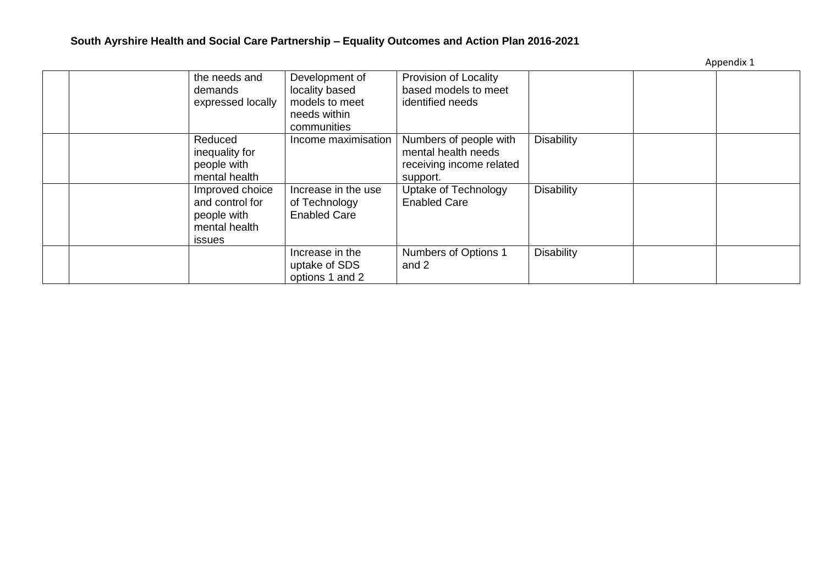| Appendix 1 |  |
|------------|--|
|------------|--|

|  | the needs and<br>demands<br>expressed locally                                | Development of<br>locality based<br>models to meet<br>needs within<br>communities | Provision of Locality<br>based models to meet<br>identified needs                     |                   |  |
|--|------------------------------------------------------------------------------|-----------------------------------------------------------------------------------|---------------------------------------------------------------------------------------|-------------------|--|
|  | Reduced<br>inequality for<br>people with<br>mental health                    | Income maximisation                                                               | Numbers of people with<br>mental health needs<br>receiving income related<br>support. | <b>Disability</b> |  |
|  | Improved choice<br>and control for<br>people with<br>mental health<br>issues | Increase in the use<br>of Technology<br><b>Enabled Care</b>                       | Uptake of Technology<br><b>Enabled Care</b>                                           | <b>Disability</b> |  |
|  |                                                                              | Increase in the<br>uptake of SDS<br>options 1 and 2                               | Numbers of Options 1<br>and 2                                                         | <b>Disability</b> |  |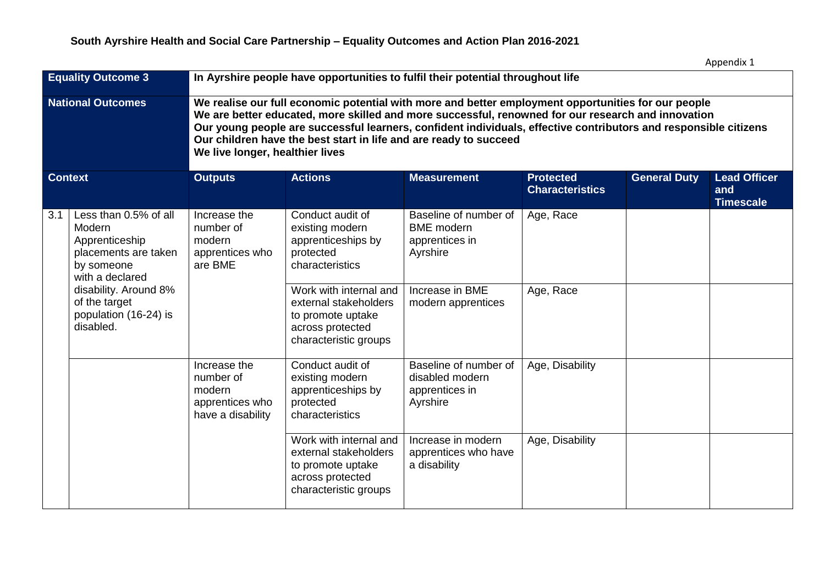| <b>Equality Outcome 3</b> |                                                                                                            | In Ayrshire people have opportunities to fulfil their potential throughout life                                                                                                                                                                                                                                                                                                                                                       |                                                                                                                   |                                                                          |                                            |                     |                                                |  |  |  |
|---------------------------|------------------------------------------------------------------------------------------------------------|---------------------------------------------------------------------------------------------------------------------------------------------------------------------------------------------------------------------------------------------------------------------------------------------------------------------------------------------------------------------------------------------------------------------------------------|-------------------------------------------------------------------------------------------------------------------|--------------------------------------------------------------------------|--------------------------------------------|---------------------|------------------------------------------------|--|--|--|
|                           | <b>National Outcomes</b>                                                                                   | We realise our full economic potential with more and better employment opportunities for our people<br>We are better educated, more skilled and more successful, renowned for our research and innovation<br>Our young people are successful learners, confident individuals, effective contributors and responsible citizens<br>Our children have the best start in life and are ready to succeed<br>We live longer, healthier lives |                                                                                                                   |                                                                          |                                            |                     |                                                |  |  |  |
| <b>Context</b>            |                                                                                                            | <b>Outputs</b>                                                                                                                                                                                                                                                                                                                                                                                                                        | <b>Actions</b>                                                                                                    | <b>Measurement</b>                                                       | <b>Protected</b><br><b>Characteristics</b> | <b>General Duty</b> | <b>Lead Officer</b><br>and<br><b>Timescale</b> |  |  |  |
| 3.1                       | Less than 0.5% of all<br>Modern<br>Apprenticeship<br>placements are taken<br>by someone<br>with a declared | Increase the<br>number of<br>modern<br>apprentices who<br>are BME                                                                                                                                                                                                                                                                                                                                                                     | Conduct audit of<br>existing modern<br>apprenticeships by<br>protected<br>characteristics                         | Baseline of number of<br><b>BME</b> modern<br>apprentices in<br>Ayrshire | Age, Race                                  |                     |                                                |  |  |  |
|                           | disability. Around 8%<br>of the target<br>population (16-24) is<br>disabled.                               |                                                                                                                                                                                                                                                                                                                                                                                                                                       | Work with internal and<br>external stakeholders<br>to promote uptake<br>across protected<br>characteristic groups | Increase in BME<br>modern apprentices                                    | Age, Race                                  |                     |                                                |  |  |  |
|                           |                                                                                                            | Increase the<br>number of<br>modern<br>apprentices who<br>have a disability                                                                                                                                                                                                                                                                                                                                                           | Conduct audit of<br>existing modern<br>apprenticeships by<br>protected<br>characteristics                         | Baseline of number of<br>disabled modern<br>apprentices in<br>Ayrshire   | Age, Disability                            |                     |                                                |  |  |  |
|                           |                                                                                                            |                                                                                                                                                                                                                                                                                                                                                                                                                                       | Work with internal and<br>external stakeholders<br>to promote uptake<br>across protected<br>characteristic groups | Increase in modern<br>apprentices who have<br>a disability               | Age, Disability                            |                     |                                                |  |  |  |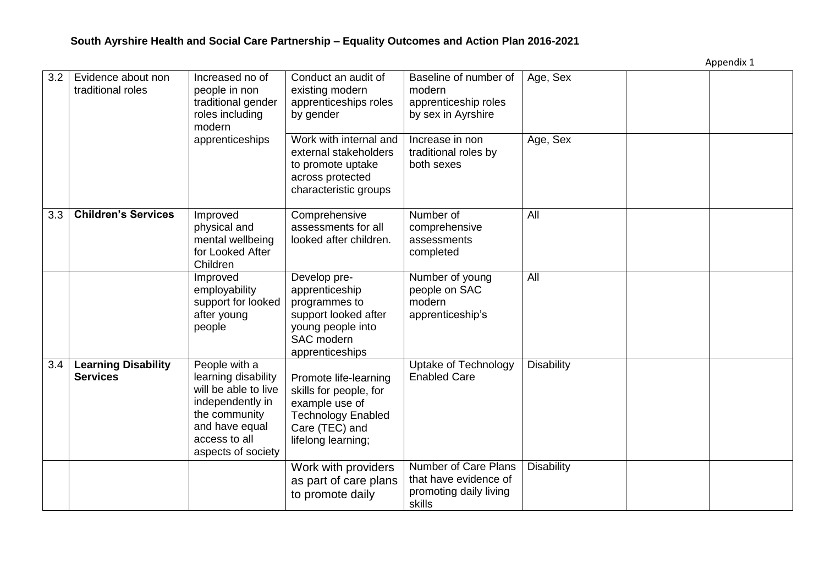| 3.2 | Evidence about non<br>traditional roles       | Increased no of<br>people in non<br>traditional gender<br>roles including<br>modern<br>apprenticeships                                                     | Conduct an audit of<br>existing modern<br>apprenticeships roles<br>by gender<br>Work with internal and                                 | Baseline of number of<br>modern<br>apprenticeship roles<br>by sex in Ayrshire<br>Increase in non | Age, Sex<br>Age, Sex |  |
|-----|-----------------------------------------------|------------------------------------------------------------------------------------------------------------------------------------------------------------|----------------------------------------------------------------------------------------------------------------------------------------|--------------------------------------------------------------------------------------------------|----------------------|--|
|     |                                               |                                                                                                                                                            | external stakeholders<br>to promote uptake<br>across protected<br>characteristic groups                                                | traditional roles by<br>both sexes                                                               |                      |  |
| 3.3 | <b>Children's Services</b>                    | Improved<br>physical and<br>mental wellbeing<br>for Looked After<br>Children                                                                               | Comprehensive<br>assessments for all<br>looked after children.                                                                         | Number of<br>comprehensive<br>assessments<br>completed                                           | All                  |  |
|     |                                               | Improved<br>employability<br>support for looked<br>after young<br>people                                                                                   | Develop pre-<br>apprenticeship<br>programmes to<br>support looked after<br>young people into<br>SAC modern<br>apprenticeships          | Number of young<br>people on SAC<br>modern<br>apprenticeship's                                   | All                  |  |
| 3.4 | <b>Learning Disability</b><br><b>Services</b> | People with a<br>learning disability<br>will be able to live<br>independently in<br>the community<br>and have equal<br>access to all<br>aspects of society | Promote life-learning<br>skills for people, for<br>example use of<br><b>Technology Enabled</b><br>Care (TEC) and<br>lifelong learning; | Uptake of Technology<br><b>Enabled Care</b>                                                      | <b>Disability</b>    |  |
|     |                                               |                                                                                                                                                            | Work with providers<br>as part of care plans<br>to promote daily                                                                       | Number of Care Plans<br>that have evidence of<br>promoting daily living<br>skills                | <b>Disability</b>    |  |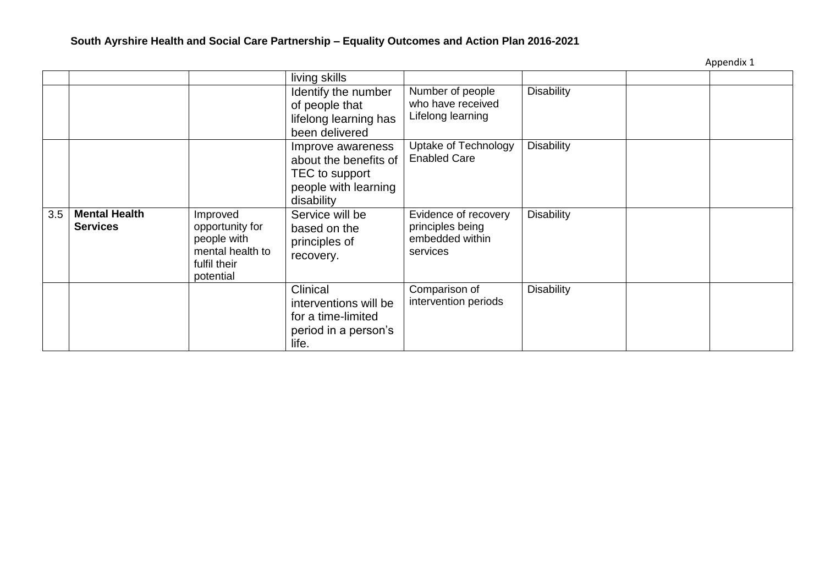|     |                                         |                                                                                             | living skills                                                                                      |                                                                         |                   |  |
|-----|-----------------------------------------|---------------------------------------------------------------------------------------------|----------------------------------------------------------------------------------------------------|-------------------------------------------------------------------------|-------------------|--|
|     |                                         |                                                                                             | Identify the number<br>of people that<br>lifelong learning has<br>been delivered                   | Number of people<br>who have received<br>Lifelong learning              | <b>Disability</b> |  |
|     |                                         |                                                                                             | Improve awareness<br>about the benefits of<br>TEC to support<br>people with learning<br>disability | Uptake of Technology<br><b>Enabled Care</b>                             | <b>Disability</b> |  |
| 3.5 | <b>Mental Health</b><br><b>Services</b> | Improved<br>opportunity for<br>people with<br>mental health to<br>fulfil their<br>potential | Service will be<br>based on the<br>principles of<br>recovery.                                      | Evidence of recovery<br>principles being<br>embedded within<br>services | <b>Disability</b> |  |
|     |                                         |                                                                                             | Clinical<br>interventions will be<br>for a time-limited<br>period in a person's<br>life.           | Comparison of<br>intervention periods                                   | <b>Disability</b> |  |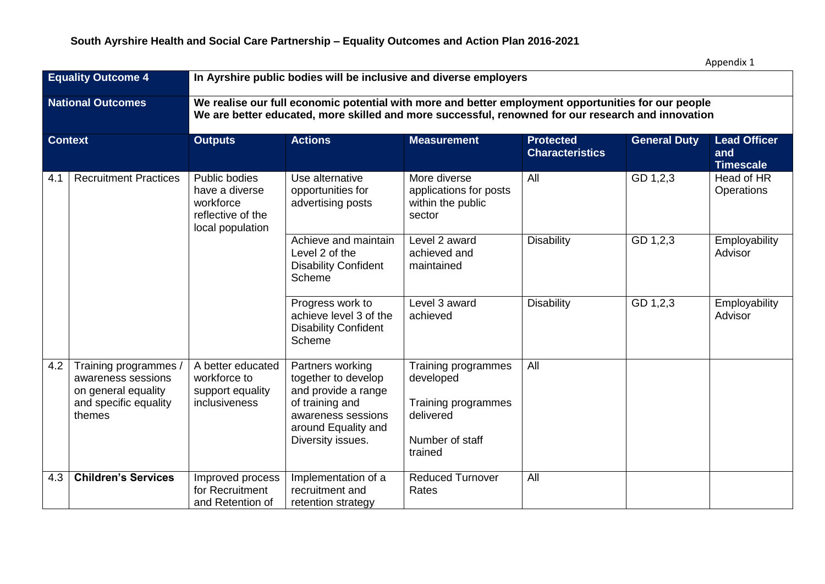| Appendix 1 |  |
|------------|--|
|------------|--|

| <b>Equality Outcome 4</b> |                                                                                                       | In Ayrshire public bodies will be inclusive and diverse employers                                                                                                                                         |                                                                                                                                                     |                                                                                                    |                                            |                     |                                                |  |  |  |
|---------------------------|-------------------------------------------------------------------------------------------------------|-----------------------------------------------------------------------------------------------------------------------------------------------------------------------------------------------------------|-----------------------------------------------------------------------------------------------------------------------------------------------------|----------------------------------------------------------------------------------------------------|--------------------------------------------|---------------------|------------------------------------------------|--|--|--|
| <b>National Outcomes</b>  |                                                                                                       | We realise our full economic potential with more and better employment opportunities for our people<br>We are better educated, more skilled and more successful, renowned for our research and innovation |                                                                                                                                                     |                                                                                                    |                                            |                     |                                                |  |  |  |
| <b>Context</b>            |                                                                                                       | <b>Outputs</b>                                                                                                                                                                                            | <b>Actions</b>                                                                                                                                      | <b>Measurement</b>                                                                                 | <b>Protected</b><br><b>Characteristics</b> | <b>General Duty</b> | <b>Lead Officer</b><br>and<br><b>Timescale</b> |  |  |  |
| 4.1                       | <b>Recruitment Practices</b>                                                                          | Public bodies<br>have a diverse<br>workforce<br>reflective of the<br>local population                                                                                                                     | Use alternative<br>opportunities for<br>advertising posts                                                                                           | More diverse<br>applications for posts<br>within the public<br>sector                              | All                                        | GD 1,2,3            | Head of HR<br>Operations                       |  |  |  |
|                           |                                                                                                       |                                                                                                                                                                                                           | Achieve and maintain<br>Level 2 of the<br><b>Disability Confident</b><br>Scheme                                                                     | Level 2 award<br>achieved and<br>maintained                                                        | <b>Disability</b>                          | GD 1,2,3            | Employability<br>Advisor                       |  |  |  |
|                           |                                                                                                       |                                                                                                                                                                                                           | Progress work to<br>achieve level 3 of the<br><b>Disability Confident</b><br>Scheme                                                                 | Level 3 award<br>achieved                                                                          | <b>Disability</b>                          | GD 1,2,3            | Employability<br>Advisor                       |  |  |  |
| 4.2                       | Training programmes /<br>awareness sessions<br>on general equality<br>and specific equality<br>themes | A better educated<br>workforce to<br>support equality<br>inclusiveness                                                                                                                                    | Partners working<br>together to develop<br>and provide a range<br>of training and<br>awareness sessions<br>around Equality and<br>Diversity issues. | Training programmes<br>developed<br>Training programmes<br>delivered<br>Number of staff<br>trained | All                                        |                     |                                                |  |  |  |
| 4.3                       | <b>Children's Services</b>                                                                            | Improved process<br>for Recruitment<br>and Retention of                                                                                                                                                   | Implementation of a<br>recruitment and<br>retention strategy                                                                                        | <b>Reduced Turnover</b><br>Rates                                                                   | All                                        |                     |                                                |  |  |  |